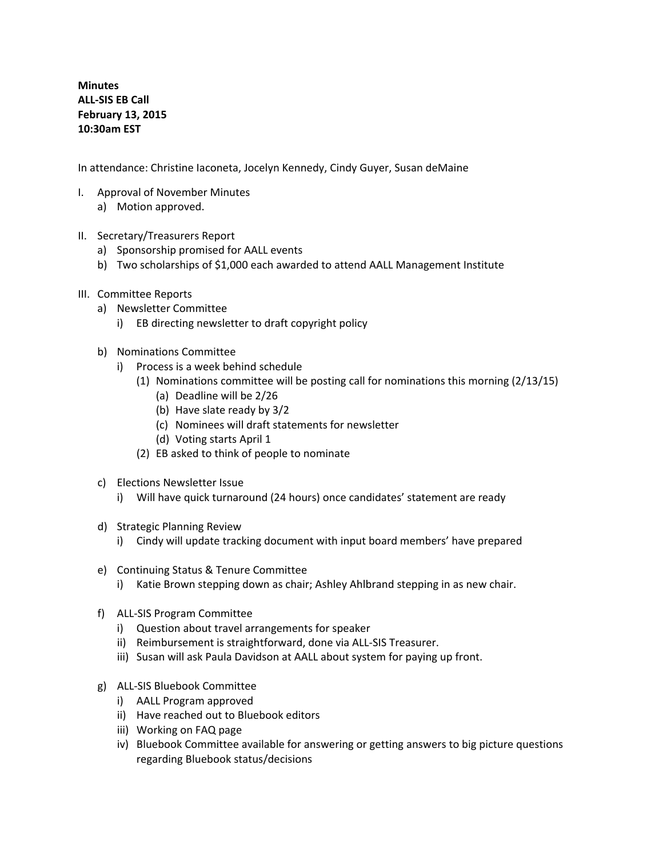**Minutes ALL-SIS EB Call February 13, 2015 10:30am EST**

In attendance: Christine Iaconeta, Jocelyn Kennedy, Cindy Guyer, Susan deMaine

- I. Approval of November Minutes a) Motion approved.
- II. Secretary/Treasurers Report
	- a) Sponsorship promised for AALL events
	- b) Two scholarships of \$1,000 each awarded to attend AALL Management Institute
- III. Committee Reports
	- a) Newsletter Committee
		- i) EB directing newsletter to draft copyright policy
	- b) Nominations Committee
		- i) Process is a week behind schedule
			- (1) Nominations committee will be posting call for nominations this morning (2/13/15)
				- (a) Deadline will be 2/26
				- (b) Have slate ready by 3/2
				- (c) Nominees will draft statements for newsletter
				- (d) Voting starts April 1
			- (2) EB asked to think of people to nominate
	- c) Elections Newsletter Issue
		- i) Will have quick turnaround (24 hours) once candidates' statement are ready
	- d) Strategic Planning Review
		- i) Cindy will update tracking document with input board members' have prepared
	- e) Continuing Status & Tenure Committee
		- i) Katie Brown stepping down as chair; Ashley Ahlbrand stepping in as new chair.
	- f) ALL-SIS Program Committee
		- i) Question about travel arrangements for speaker
		- ii) Reimbursement is straightforward, done via ALL-SIS Treasurer.
		- iii) Susan will ask Paula Davidson at AALL about system for paying up front.
	- g) ALL-SIS Bluebook Committee
		- i) AALL Program approved
		- ii) Have reached out to Bluebook editors
		- iii) Working on FAQ page
		- iv) Bluebook Committee available for answering or getting answers to big picture questions regarding Bluebook status/decisions